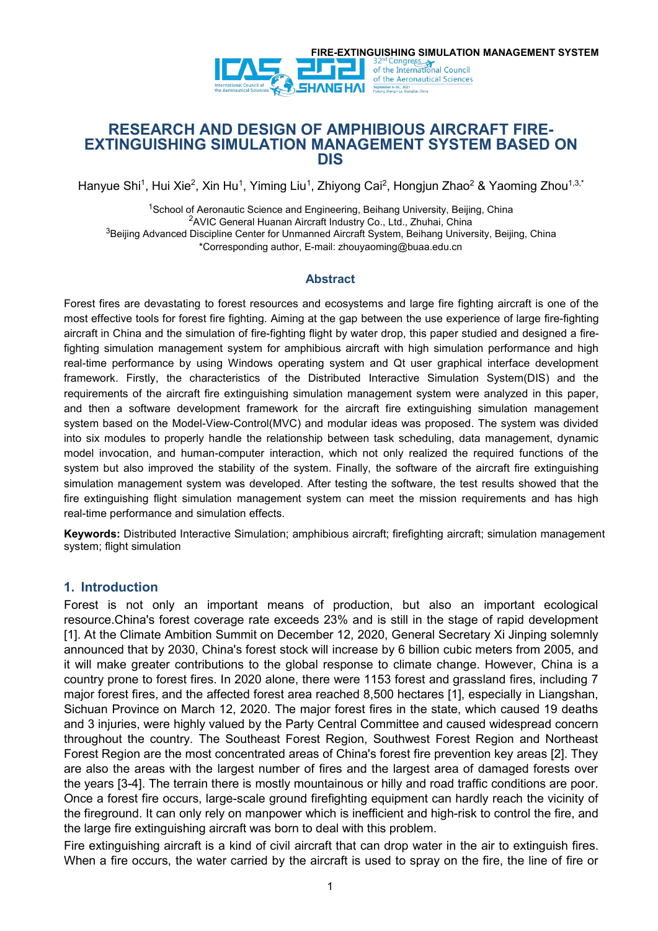

# **RESEARCH AND DESIGN OF AMPHIBIOUS AIRCRAFT FIRE- EXTINGUISHING SIMULATION MANAGEMENT SYSTEM BASED ON DIS**

Hanyue Shi<sup>1</sup>, Hui Xie<sup>2</sup>, Xin Hu<sup>1</sup>, Yiming Liu<sup>1</sup>, Zhiyong Cai<sup>2</sup>, Hongjun Zhao<sup>2</sup> & Yaoming Zhou<sup>1,3,\*</sup>

<sup>1</sup>School of Aeronautic Science and Engineering, Beihang University, Beijing, China <sup>2</sup>AVIC General Huanan Aircraft Industry Co., Ltd., Zhuhai, China <sup>3</sup>Beijing Advanced Discipline Center for Unmanned Aircraft System, Beihang University, Beijing, China \*Corresponding author, E-mail: zhouyaoming@buaa.edu.cn

#### **Abstract**

Forest fires are devastating to forest resources and ecosystems and large fire fighting aircraft is one of the most effective tools for forest fire fighting. Aiming at the gap between the use experience of large fire-fighting aircraft in China and the simulation of fire-fighting flight by water drop, this paper studied and designed a firefighting simulation management system for amphibious aircraft with high simulation performance and high real-time performance by using Windows operating system and Qt user graphical interface development framework. Firstly, the characteristics of the Distributed Interactive Simulation System(DIS) and the requirements of the aircraft fire extinguishing simulation management system were analyzed in this paper, and then a software development framework for the aircraft fire extinguishing simulation management system based on the Model-View-Control(MVC) and modular ideas was proposed. The system was divided into six modules to properly handle the relationship between task scheduling, data management, dynamic model invocation, and human-computer interaction, which not only realized the required functions of the system but also improved the stability of the system. Finally, the software of the aircraft fire extinguishing simulation management system was developed. After testing the software, the test results showed that the fire extinguishing flight simulation management system can meet the mission requirements and has high real-time performance and simulation effects.

Keywords: Distributed Interactive Simulation; amphibious aircraft; firefighting aircraft; simulation management system; flight simulation

## **1. Introduction**

Forest is not only an important means of production, but also an important ecological resource.China's forest coverage rate exceeds 23% and is still in the stage of rapid development [1]. At the Climate Ambition Summit on December 12, 2020, General Secretary Xi Jinping solemnly announced that by 2030, China's forest stock will increase by 6 billion cubic meters from 2005, and it will make greater contributions to the global response to climate change. However, China is a country prone to forest fires. In 2020 alone, there were 1153 forest and grassland fires, including 7 major forest fires, and the affected forest area reached 8,500 hectares [1], especially in Liangshan, Sichuan Province on March 12, 2020. The major forest fires in the state, which caused 19 deaths and 3 injuries, were highly valued by the Party Central Committee and caused widespread concern throughout the country. The Southeast Forest Region, Southwest Forest Region and Northeast Forest Region are the most concentrated areas of China's forest fire prevention key areas [2]. They are also the areas with the largest number of fires and the largest area of damaged forests over the years [3-4]. The terrain there is mostly mountainous or hilly and road traffic conditions are poor. Once a forest fire occurs, large-scale ground firefighting equipment can hardly reach the vicinity of the fireground. It can only rely on manpower which is inefficient and high-risk to control the fire, and the large fire extinguishing aircraft was born to deal with this problem.

Fire extinguishing aircraft is a kind of civil aircraft that can drop water in the air to extinguish fires. When a fire occurs, the water carried by the aircraft is used to spray on the fire, the line of fire or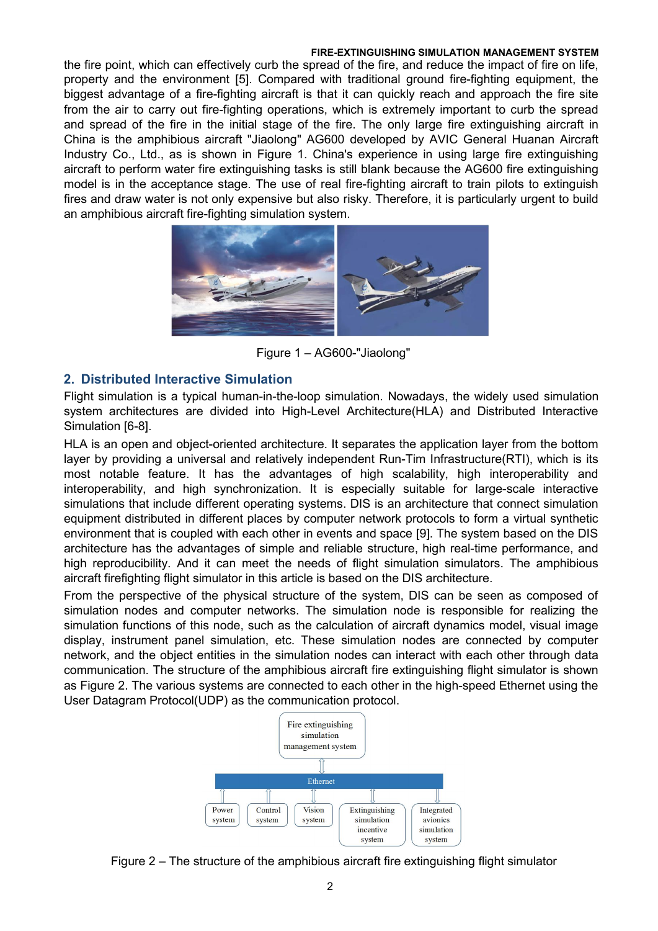the fire point, which can effectively curb the spread of the fire, and reduce the impact of fire on life, property and the environment [5]. Compared with traditional ground fire-fighting equipment, the biggest advantage of a fire-fighting aircraft is that it can quickly reach and approach the fire site from the air to carry out fire-fighting operations, which is extremely important to curb the spread and spread of the fire in the initial stage of the fire. The only large fire extinguishing aircraft in China is the amphibious aircraft "Jiaolong" AG600 developed by AVIC General Huanan Aircraft Industry Co., Ltd., as is shown in Figure 1. China's experience in using large fire extinguishing aircraft to perform water fire extinguishing tasks is still blank because the AG600 fire extinguishing model is in the acceptance stage. The use of real fire-fighting aircraft to train pilots to extinguish fires and draw water is not only expensive but also risky. Therefore, it is particularly urgent to build an amphibious aircraft fire-fighting simulation system.



Figure 1 – AG600-"Jiaolong"

# **2. Distributed Interactive Simulation**

Flight simulation is a typical human-in-the-loop simulation. Nowadays, the widely used simulation system architectures are divided into High-Level Architecture(HLA) and Distributed Interactive Simulation [6-8].

HLA is an open and object-oriented architecture. It separates the application layer from the bottom layer by providing a universal and relatively independent Run-Tim Infrastructure(RTI), which is its most notable feature. It has the advantages of high scalability, high interoperability and interoperability, and high synchronization. It is especially suitable for large-scale interactive simulations that include different operating systems. DIS is an architecture that connect simulation equipment distributed in different places by computer network protocols to form a virtual synthetic environment that is coupled with each other in events and space [9]. The system based on the DIS architecture has the advantages of simple and reliable structure, high real-time performance, and high reproducibility. And it can meet the needs of flight simulation simulators.The amphibious aircraft firefighting flight simulator in this article is based on the DIS architecture.

From the perspective of the physical structure of the system, DIS canbe seen as composed of simulation nodes and computer networks. The simulation node is responsible for realizing the simulation functions of this node, such as the calculation of aircraft dynamics model, visual image display, instrument panel simulation, etc. These simulation nodes are connected by computer network, and the object entities in the simulation nodes can interact with each other through data communication. The structure of the amphibious aircraft fire extinguishing flight simulator is shown as Figure 2.The various systems are connected to each other in the high-speed Ethernet using the User Datagram Protocol(UDP) as the communication protocol.



Figure 2 – The structure of the amphibious aircraft fire extinguishing flight simulator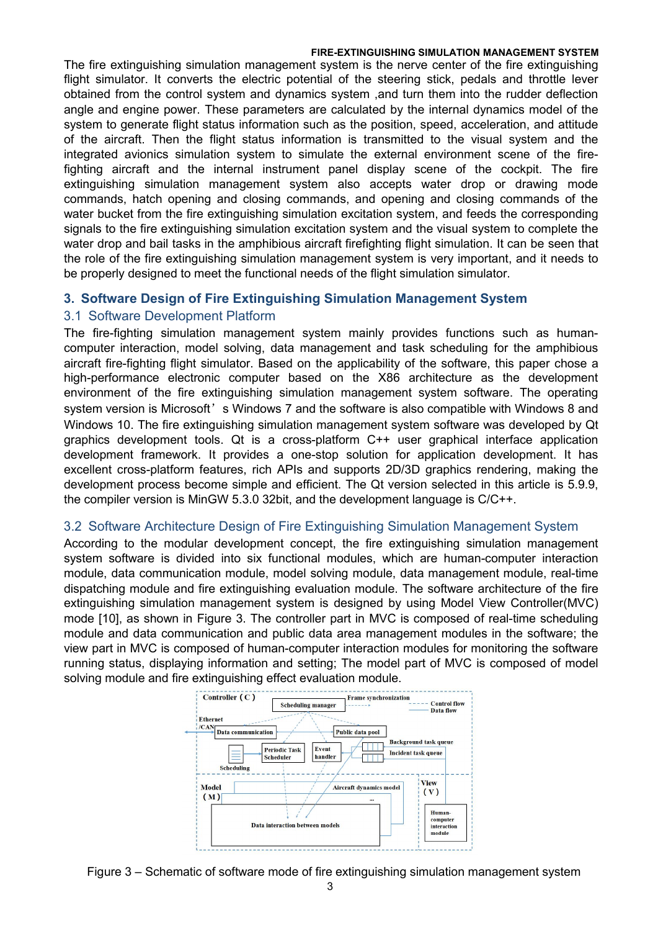The fire extinguishing simulation management system is the nerve center of the fire extinguishing flight simulator. It converts the electric potential of the steering stick, pedals and throttle lever obtained from the control system and dynamics system ,and turn them into the rudder deflection angle and engine power. These parameters are calculated by the internal dynamics model of the system to generate flight status information such as the position, speed, acceleration, and attitude of the aircraft. Then the flight status information is transmitted to the visual system and the integrated avionics simulation system to simulate the external environment scene of the firefighting aircraft and the internal instrument panel display scene of the cockpit. The fire extinguishing simulation management system also accepts water drop or drawing mode commands, hatch opening and closing commands, and opening and closing commands of the water bucket from the fire extinguishing simulation excitation system, and feeds the corresponding signals to the fire extinguishing simulation excitation system and the visual system to complete the water drop and bail tasks in the amphibious aircraft firefighting flight simulation. It can be seen that the role of the fire extinguishing simulation management system is very important, and it needs to be properly designed to meet the functional needs of the flight simulation simulator.

# **3. Software Design of Fire Extinguishing Simulation Management System**

# 3.1 Software Development Platform

The fire-fighting simulation management system mainly provides functions such as human computer interaction, model solving, data management and task scheduling for the amphibious aircraft fire-fighting flight simulator. Based on the applicability of the software, this paper chose a high-performance electronic computer based on the X86 architecture as the development environment of the fire extinguishing simulation management system software. The operating system version is Microsoft's Windows 7 and the software is also compatible with Windows 8 and Windows 10. The fire extinguishing simulation management system software was developed by Qt graphics development tools. Qt is a cross-platform C++ user graphical interface application development framework. It provides a one-stop solution for application development. It has excellent cross-platform features, rich APIs and supports 2D/3D graphics rendering, making the development process become simple and efficient. The Qt version selected in this article is5.9.9, the compiler version is MinGW 5.3.0 32bit, and the development language is C/C++.

## 3.2 Software Architecture Design of Fire Extinguishing Simulation Management System

According to the modular development concept, the fire extinguishing simulation management system software is divided into six functional modules, which are human-computer interaction module, data communication module, model solving module, data management module, real-time dispatching module and fire extinguishing evaluation module. The software architecture of the fire extinguishing simulation management system is designed by using Model View Controller(MVC) mode [10], as shown in Figure 3. The controller part in MVC is composed of real-time scheduling module and data communication and public data area management modules in the software; the view part inMVC is composed of human-computer interaction modules for monitoring the software running status, displaying information and setting; The model part of MVC is composed of model solving module and fire extinguishing effect evaluation module.



Figure 3 – Schematic of software mode of fire extinguishing simulation management system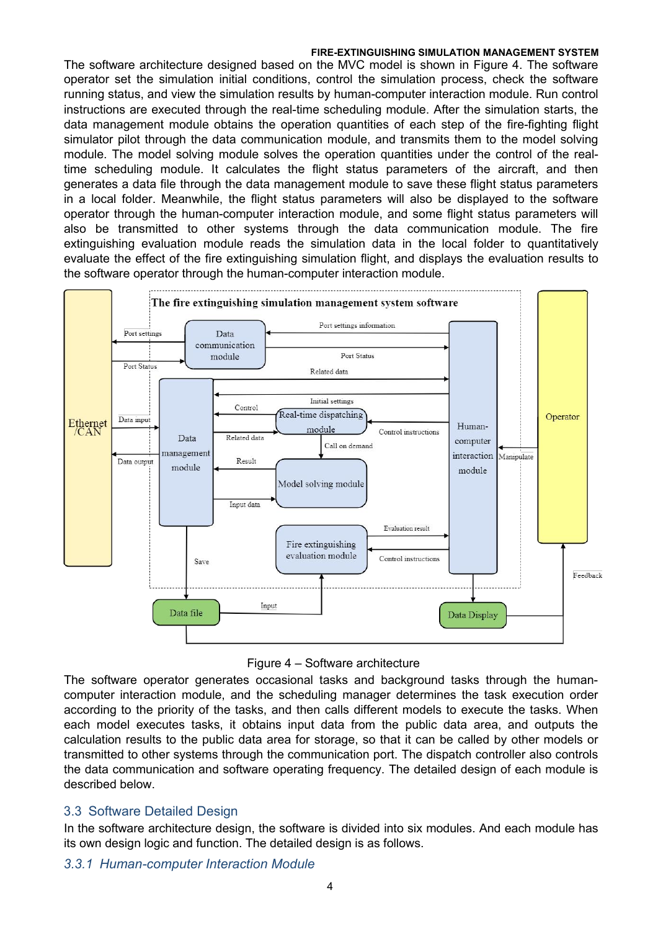The software architecture designed based on the MVC model is shown in Figure 4. The software operator set the simulation initial conditions, control the simulation process, check the software running status, and view the simulation results by human-computer interaction module. Run control instructions are executed through the real-time scheduling module. After the simulation starts, the data management module obtains the operation quantities of each step of the fire-fighting flight simulator pilot through the data communication module, and transmits them to the model solving module. The model solving module solves the operation quantities under the control of the realtime scheduling module. It calculates the flight status parameters of the aircraft, and then generates a data file through the data management module to save these flight status parameters in a local folder. Meanwhile, the flight status parameters will also be displayed to the software operator through the human-computer interaction module, and some flight status parameters will also be transmitted to other systems through the data communication module. The fire extinguishing evaluation module reads the simulation data in the local folder to quantitatively evaluate the effect of the fire extinguishing simulation flight, and displays the evaluation results to the software operator through the human-computer interaction module.





The software operator generates occasional tasks and background tasks through the humancomputer interaction module, and the scheduling manager determines the task execution order according to the priority of the tasks, and then calls different models to execute the tasks. When each model executes tasks, it obtains input data from the public data area, and outputs the calculation results to the public data area for storage, so that it can be called by other models or transmitted to other systems through the communication port. The dispatch controller also controls the data communication and software operating frequency. The detailed design of each module is described below.

## 3.3 Software Detailed Design

In the software architecture design, the software is divided into six modules. And each module has its own design logic and function. The detailed design is as follows.

## *3.3.1 Human-computer Interaction Module*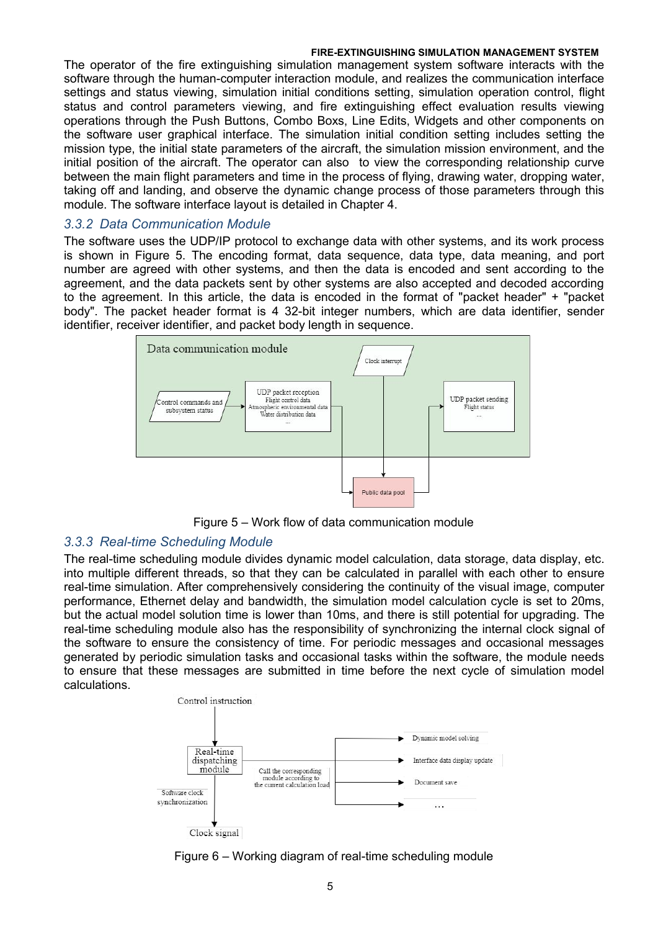The operator of the fire extinguishing simulation management system software interacts with the software through the human-computer interaction module, and realizes the communication interface settings and status viewing, simulation initial conditions setting, simulation operation control, flight status and control parameters viewing, and fire extinguishing effect evaluation results viewing operations through the Push Buttons, Combo Boxs, Line Edits, Widgets and other components on the software user graphical interface. The simulation initial condition setting includes setting the mission type, the initial state parameters of the aircraft, the simulation mission environment, and the initial position of the aircraft. The operator can also to view the corresponding relationship curve between the main flight parameters and time in the process of flying, drawing water, dropping water, taking off and landing, and observe the dynamic change process of those parameters through this module. The software interface layout is detailed in Chapter 4.

## *3.3.2 Data Communication Module*

The software uses the UDP/IP protocol to exchange data with other systems, and its work process is shown in Figure 5. The encoding format, data sequence, data type, data meaning, and port number are agreed with other systems, and then the data is encoded and sent according to the agreement, and the data packets sent by other systems are also accepted and decoded according to the agreement. In this article, the data is encoded in the format of "packet header" + "packet body". The packet header format is 4 32-bit integer numbers, which are data identifier, sender identifier, receiver identifier, and packet body length in sequence.



Figure 5 – Work flow of data communication module

# *3.3.3 Real-time Scheduling Module*

The real-time scheduling module divides dynamic model calculation, data storage, data display, etc. into multiple different threads, so that they can be calculated in parallel with each other to ensure real-time simulation. After comprehensively considering the continuity of the visual image, computer performance, Ethernet delay and bandwidth, the simulation model calculation cycle is set to 20ms, but the actual model solution time is lower than 10ms, and there is still potential for upgrading. The real-time scheduling module also has the responsibility of synchronizing the internal clock signal of the software to ensure the consistency of time. For periodic messages and occasional messages generated by periodic simulation tasks and occasional tasks within the software, the module needs to ensure that these messages are submitted in time before the next cycle of simulation model calculations.



Figure  $6 -$  Working diagram of real-time scheduling module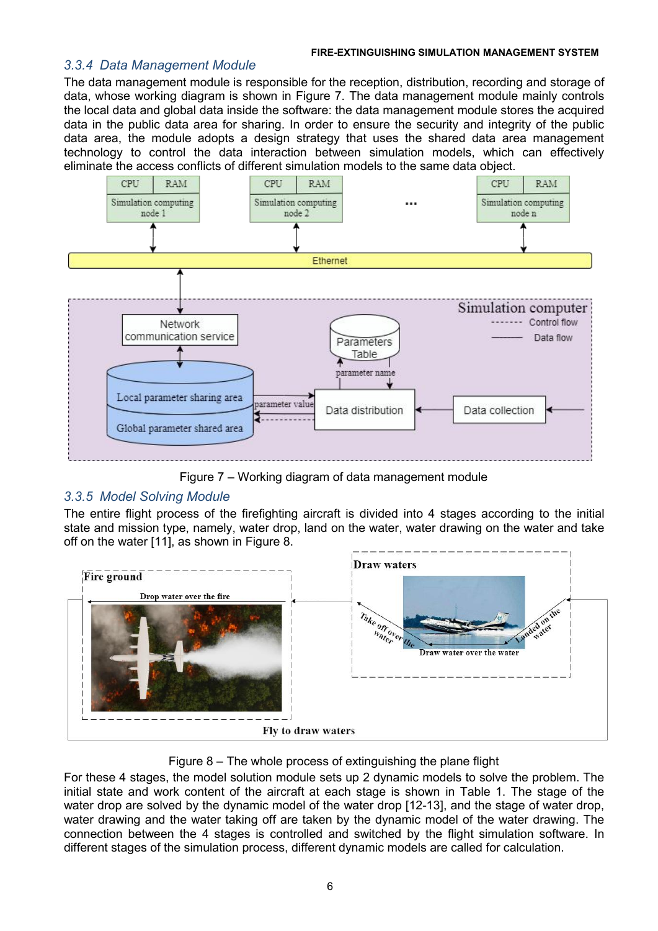## *3.3.4 Data Management Module*

The data management module is responsible for the reception, distribution, recording and storage of data, whose working diagram is shown in Figure 7. The data management module mainly controls the local data and global data inside the software: the data management module stores the acquired data in the public data area for sharing. In order to ensure the security and integrity of the public data area, the module adopts a design strategy that uses the shared data area management technology to control the data interaction between simulation models, which can effectively eliminate the access conflicts of different simulation models to the same data object.



Figure 7 – Working diagram of data management module

# *3.3.5 Model Solving Module*

The entire flight process of the firefighting aircraft is divided into 4 stages according to the initial state and mission type, namely, water drop, land on the water, water drawing on the water and take off on the water [11], as shown in Figure 8.



Figure 8 – The whole process of extinguishing the plane flight

For these 4 stages, the model solution module sets up 2 dynamic models to solve the problem. The initial state and work content of the aircraft at each stage is shown in Table 1. The stage of the water drop are solved by the dynamic model of the water drop [12-13], and the stage of water drop, water drawing and the water taking off are taken by the dynamic model of the water drawing. The connection between the 4 stages is controlled and switched by the flight simulation software. In different stages of the simulation process, different dynamic models are called for calculation.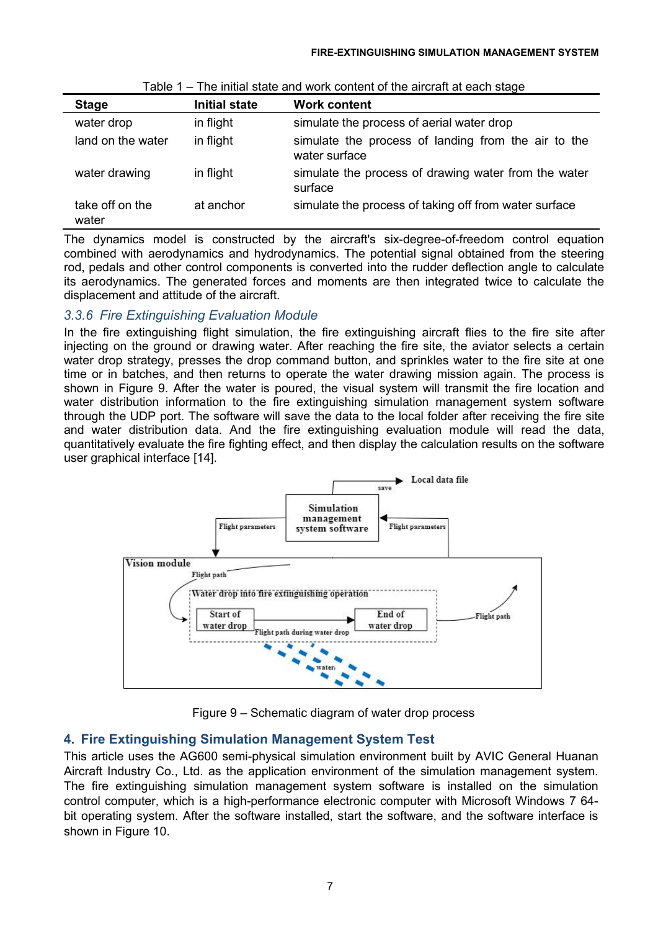| <b>Stage</b><br><b>Initial state</b><br><b>Work content</b> |           |                                                                      |
|-------------------------------------------------------------|-----------|----------------------------------------------------------------------|
| water drop                                                  | in flight | simulate the process of aerial water drop                            |
| land on the water                                           | in flight | simulate the process of landing from the air to the<br>water surface |
| water drawing                                               | in flight | simulate the process of drawing water from the water<br>surface      |
| take off on the<br>water                                    | at anchor | simulate the process of taking off from water surface                |

| Table 1 – The initial state and work content of the aircraft at each stage |
|----------------------------------------------------------------------------|
|----------------------------------------------------------------------------|

The dynamics model is constructed by the aircraft's six-degree-of-freedom control equation combined with aerodynamics and hydrodynamics. The potential signal obtained from the steering rod, pedals and other control components is converted into the rudder deflection angle to calculate its aerodynamics. The generated forces and moments are then integrated twice to calculate the displacement and attitude of the aircraft.

# *3.3.6 Fire Extinguishing Evaluation Module*

In the fire extinguishing flight simulation, the fire extinguishing aircraft flies to the fire site after injecting on the ground or drawing water. After reaching the fire site, the aviator selects a certain water drop strategy, presses the drop command button, and sprinkles water to the fire site at one time or in batches, and then returns to operate the water drawing mission again. The process is shown in Figure 9. After the water is poured, the visual system will transmit the fire location and water distribution information to the fire extinguishing simulation management system software through the UDP port. The software will save the data to the local folder after receiving the fire site and water distribution data. And the fire extinguishing evaluation module will read the data, quantitatively evaluate the fire fighting effect, and then display the calculation results on the software user graphical interface [14].



Figure 9 – Schematic diagram of water drop process

# **4. Fire Extinguishing Simulation Management System Test**

This article uses the AG600 semi-physical simulation environment built by AVIC General Huanan Aircraft Industry Co., Ltd. as the application environment of the simulation management system. The fire extinguishing simulation management system software is installed on the simulation control computer, which is a high-performance electronic computer with Microsoft Windows 7 64bit operating system. After the software installed, start the software, and the software interface is shown in Figure 10.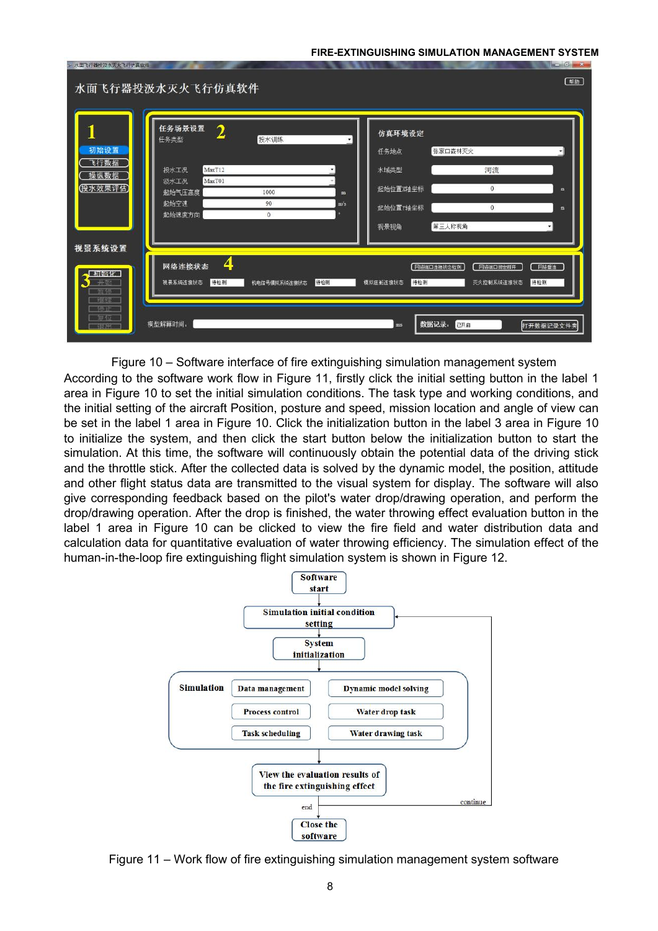| - 水面飞行器投汲水灭火飞行仿真软件                                                  | 水面飞行器投汲水灭火飞行仿真软件                                                                                 |                                |          |                                                        |                                                         | $\mathbf{u} = \mathbf{u} \mathbf{u} + \mathbf{v} \mathbf{v}$<br>(帮助) |
|---------------------------------------------------------------------|--------------------------------------------------------------------------------------------------|--------------------------------|----------|--------------------------------------------------------|---------------------------------------------------------|----------------------------------------------------------------------|
| 初始设置<br>飞行数据<br>操纵数据<br>(投水效果评估)                                    | 任务场景设置<br>$\overline{2}$<br>任务类型<br>MaxT12<br>投水工况<br>MaxT01<br>汲水工况<br>起始气压高度<br>起始空速<br>起始速度方向 | 投水训练<br>1000<br>90<br>$\theta$ | m<br>m/s | 仿真环境设定<br>任务地点<br>水域类型<br>起始位置X轴坐标<br>起始位置Y轴坐标<br>视景视角 | 张家口森林灭火<br>河流<br>$\mathbf{0}$<br>$\mathbf{0}$<br>第三人称视角 | m<br>m                                                               |
| 视景系统设置<br>【 初始化】<br>$+26$<br>哲传<br><b>FIX SEC</b><br>特化<br>导位<br>银出 | 4<br>网络连接状态<br>待检测<br>视景系统连接状态<br>模型解算时间:                                                        | 机电信号模拟系统连接状态                   | 待检测      | 待检测<br>模拟座舱连接状态<br>ms                                  | 网络端口连接状态检测<br>网络端口绑定断开<br>灭火控制系统连接状态<br>数据记录:<br>已开启    | □ 可络垂连<br>待检测<br>打开数据记录文件夹                                           |

Figure 10 – Software interface of fire extinguishing simulation management system

According to the software work flow in Figure 11, firstly click the initial setting button in the label 1 area in Figure 10 to set the initial simulation conditions. The task type and working conditions, and the initial setting of the aircraft Position, posture and speed, mission location and angle of view can be set in the label 1 area in Figure 10. Click the initialization button in the label 3 area in Figure 10 to initialize the system, and then click the start button below the initialization button to start the simulation. At this time, the software will continuously obtain the potential data of the driving stick and the throttle stick. After the collected data is solved by the dynamic model, the position, attitude and other flight status data are transmitted to the visual system for display. The software will also give corresponding feedback based on the pilot's water drop/drawing operation, and perform the drop/drawing operation. After the drop is finished, the water throwing effect evaluation button in the label 1 area in Figure 10 can be clicked to view the fire field and water distribution data and calculation data for quantitative evaluation of water throwing efficiency. The simulation effect of the human-in-the-loop fire extinguishing flight simulation system is shown in Figure 12.



Figure 11 – Work flow of fire extinguishing simulation management system software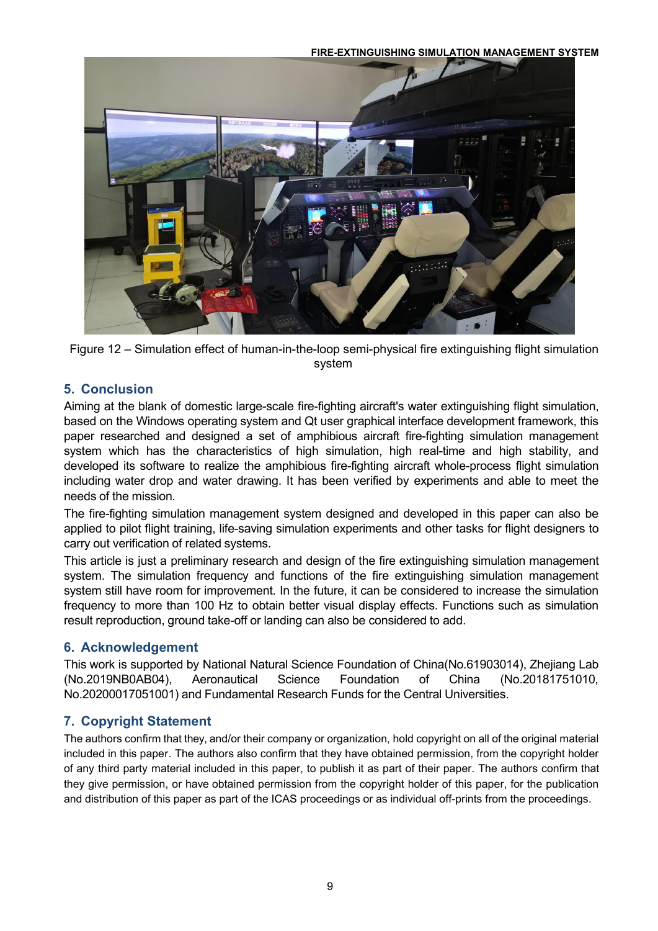



# **5. Conclusion**

Aiming at the blank of domestic large-scale fire-fighting aircraft's water extinguishing flight simulation, based on the Windows operating system and Qt user graphical interface development framework, this paper researched and designed a set of amphibious aircraft fire-fighting simulation management system which has the characteristics of high simulation, high real-time and high stability, and developed its software to realize the amphibious fire-fighting aircraft whole-process flight simulation including water drop and water drawing. It has been verified by experiments and able to meet the needs of the mission.

The fire-fighting simulation management system designed and developed in this paper can also be applied to pilot flight training, life-saving simulation experiments and other tasks for flight designers to carry out verification of related systems.

This article is just a preliminary research and design of the fire extinguishing simulation management system. The simulation frequency and functions of the fire extinguishing simulation management system still have room for improvement. In the future, it can be considered to increase the simulation frequency to more than 100 Hz to obtain better visual display effects. Functions such as simulation result reproduction, ground take-off or landing can also be considered to add.

# **6. Acknowledgement**

This work is supported by National Natural Science Foundation of China(No.61903014), Zhejiang Lab (No.2019NB0AB04), Aeronautical Science Foundation of China (No.20181751010, No.20200017051001) and Fundamental Research Funds for the Central Universities.

# **7. Copyright Statement**

The authors confirm that they, and/or their company or organization, hold copyright on all of the original material included in this paper. The authors also confirm that they have obtained permission, from the copyright holder of any third party material included in this paper, to publish it as part of their paper. The authors confirm that they give permission, or have obtained permission from the copyright holder of this paper, for the publication and distribution of this paper as part of the ICAS proceedings or as individual off-prints from the proceedings.